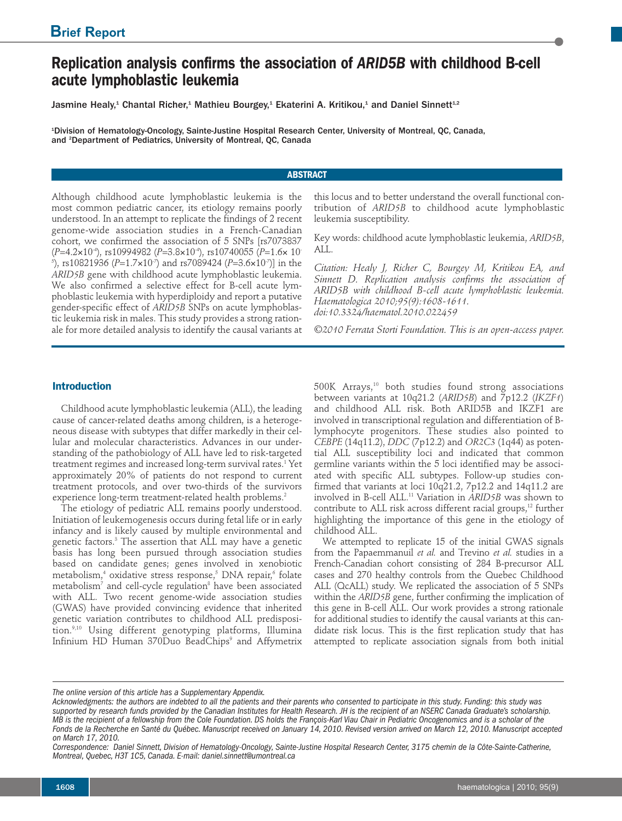# **Replication analysis confirms the association of** *ARID5B* **with childhood B-cell acute lymphoblastic leukemia**

Jasmine Healy,<sup>1</sup> Chantal Richer,<sup>1</sup> Mathieu Bourgey,<sup>1</sup> Ekaterini A. Kritikou,<sup>1</sup> and Daniel Sinnett<sup>1.2</sup>

<sup>1</sup>Division of Hematology-Oncology, Sainte-Justine Hospital Research Center, University of Montreal, QC, Canada,<br>and <sup>2</sup>Department of Pediatrics, University of Montreal, QC, Canada and <sup>2</sup>Department of Pediatrics, University of Montreal, QC, Canada

# **ABSTRACT**

Although childhood acute lymphoblastic leukemia is the most common pediatric cancer, its etiology remains poorly understood. In an attempt to replicate the findings of 2 recent genome-wide association studies in a French-Canadian cohort, we confirmed the association of 5 SNPs [rs7073837 (*P*=4.2¥10-4 ), rs10994982 (*P*=3.8¥10-4 ), rs10740055 (*P*=1.6¥ 10- <sup>5</sup>), rs10821936 (P=1.7×10<sup>-</sup>) and rs7089424 (P=3.6×10<sup>-</sup>)] in the *ARID5B* gene with childhood acute lymphoblastic leukemia. We also confirmed a selective effect for B-cell acute lymphoblastic leukemia with hyperdiploidy and report a putative gender-specific effect of *ARID5B* SNPs on acute lymphoblastic leukemia risk in males. This study provides a strong rationale for more detailed analysis to identify the causal variants at

this locus and to better understand the overall functional contribution of *ARID5B* to childhood acute lymphoblastic leukemia susceptibility.

Key words: childhood acute lymphoblastic leukemia, *ARID5B*, ALL.

*Citation: Healy J, Richer C, Bourgey M, Kritikou EA, and Sinnett D. Replication analysis confirms the association of ARID5B with childhood B-cell acute lymphoblastic leukemia. Haematologica 2010;95(9):1608-1611. doi:10.3324/haematol.2010.022459*

*©2010 Ferrata Storti Foundation. This is an open-access paper.*

## **Introduction**

Childhood acute lymphoblastic leukemia (ALL), the leading cause of cancer-related deaths among children, is a heterogeneous disease with subtypes that differ markedly in their cellular and molecular characteristics. Advances in our understanding of the pathobiology of ALL have led to risk-targeted treatment regimes and increased long-term survival rates. <sup>1</sup> Yet approximately 20% of patients do not respond to current treatment protocols, and over two-thirds of the survivors experience long-term treatment-related health problems. 2

The etiology of pediatric ALL remains poorly understood. Initiation of leukemogenesis occurs during fetal life or in early infancy and is likely caused by multiple environmental and genetic factors. <sup>3</sup> The assertion that ALL may have a genetic basis has long been pursued through association studies based on candidate genes; genes involved in xenobiotic metabolism, <sup>4</sup> oxidative stress response, <sup>5</sup> DNA repair, <sup>6</sup> folate metabolism<sup>7</sup> and cell-cycle regulation<sup>8</sup> have been associated with ALL. Two recent genome-wide association studies (GWAS) have provided convincing evidence that inherited genetic variation contributes to childhood ALL predisposition. 9,10 Using different genotyping platforms, Illumina Infinium HD Human 370Duo BeadChips<sup>9</sup> and Affymetrix

500K Arrays, <sup>10</sup> both studies found strong associations between variants at 10q21.2 (*ARID5B*) and 7p12.2 (*IKZF1*) and childhood ALL risk. Both ARID5B and IKZF1 are involved in transcriptional regulation and differentiation of Blymphocyte progenitors. These studies also pointed to *CEBPE* (14q11.2), *DDC* (7p12.2) and *OR2C3* (1q44) as potential ALL susceptibility loci and indicated that common germline variants within the 5 loci identified may be associated with specific ALL subtypes. Follow-up studies confirmed that variants at loci 10q21.2, 7p12.2 and 14q11.2 are involved in B-cell ALL. <sup>11</sup> Variation in *ARID5B* was shown to contribute to ALL risk across different racial groups, <sup>12</sup> further highlighting the importance of this gene in the etiology of childhood ALL.

We attempted to replicate 15 of the initial GWAS signals from the Papaemmanuil *et al.* and Trevino *et al.* studies in a French-Canadian cohort consisting of 284 B-precursor ALL cases and 270 healthy controls from the Quebec Childhood ALL (QcALL) study. We replicated the association of 5 SNPs within the *ARID5B* gene, further confirming the implication of this gene in B-cell ALL. Our work provides a strong rationale for additional studies to identify the causal variants at this candidate risk locus. This is the first replication study that has attempted to replicate association signals from both initial

*The online version of this article has a Supplementary Appendix.*

Acknowledgments: the authors are indebted to all the patients and their parents who consented to participate in this study. Funding: this study was supported by research funds provided by the Canadian Institutes for Health Research. JH is the recipient of an NSERC Canada Graduate's scholarship. MB is the recipient of a fellowship from the Cole Foundation. DS holds the François-Karl Viau Chair in Pediatric Oncogenomics and is a scholar of the Fonds de la Recherche en Santé du Québec. Manuscript received on January 14, 2010. Revised version arrived on March 12, 2010. Manuscript accepted *on March 17, 2010.*

Correspondence: Daniel Sinnett, Division of Hematology-Oncology, Sainte-Justine Hospital Research Center, 3175 chemin de la Côte-Sainte-Catherine, *Montreal, Quebec, H3T 1C5, Canada. E-mail: daniel.sinnett@umontreal.ca*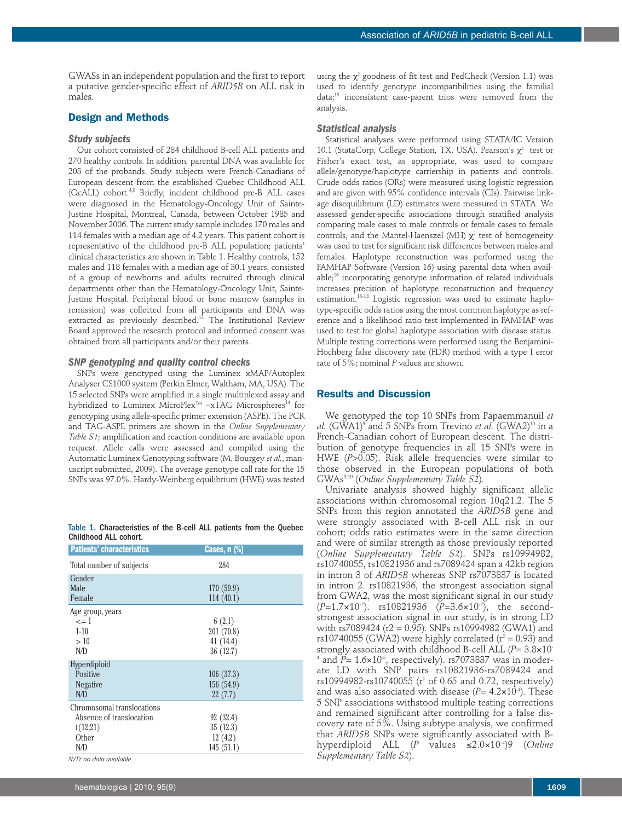GWASs in an independent population and the first to report a putative gender-specific effect of *ARID5B* on ALL risk in males.

## **Design and Methods**

#### *Study subjects*

Our cohort consisted of 284 childhood B-cell ALL patients and 270 healthy controls. In addition, parental DNA was available for 203 of the probands. Study subjects were French-Canadians of European descent from the established Quebec Childhood ALL (QcALL) cohort. 4,8 Briefly, incident childhood pre-B ALL cases were diagnosed in the Hematology-Oncology Unit of Sainte-Justine Hospital, Montreal, Canada, between October 1985 and November 2006. The current study sample includes 170 males and 114 females with a median age of 4.2 years. This patient cohort is representative of the childhood pre-B ALL population; patients' clinical characteristics are shown in Table 1. Healthy controls, 152 males and 118 females with a median age of 30.1 years, consisted of a group of newborns and adults recruited through clinical departments other than the Hematology-Oncology Unit, Sainte-Justine Hospital. Peripheral blood or bone marrow (samples in remission) was collected from all participants and DNA was extracted as previously described. <sup>13</sup> The Institutional Review Board approved the research protocol and informed consent was obtained from all participants and/or their parents.

#### *SNP genotyping and quality control checks*

SNPs were genotyped using the Luminex xMAP/Autoplex Analyser CS1000 system (Perkin Elmer, Waltham, MA, USA). The 15 selected SNPs were amplified in a single multiplexed assay and hybridized to Luminex MicroPlex™ –xTAG Microspheres<sup>14</sup> for genotyping using allele-specific primer extension (ASPE). The PCR and TAG-ASPE primers are shown in the *Online Supplementary Table S1*; amplification and reaction conditions are available upon request. Allele calls were assessed and compiled using the Automatic Luminex Genotyping software (M. Bourgey *et al.*, manuscript submitted, 2009). The average genotype call rate for the 15 SNPs was 97.0%. Hardy-Weinberg equilibrium (HWE) was tested

Table 1. Characteristics of the B-cell ALL patients from the Quebec Childhood ALL cohort.

| <b>Patients' characteristics</b> | Cases, n (%) |
|----------------------------------|--------------|
| Total number of subjects         | 284          |
| Gender                           |              |
| Male                             | 170(59.9)    |
| Female                           | 114(40.1)    |
| Age group, years                 |              |
| $\leq$ = 1                       | 6(2.1)       |
| $1 - 10$                         | 201 (70.8)   |
| >10                              | 41(14.4)     |
| N/D                              | 36(12.7)     |
| Hyperdiploid                     |              |
| Positive                         | 106(37.3)    |
| <b>Negative</b>                  | 156(54.9)    |
| N/D                              | 22(7.7)      |
| Chromosomal translocations       |              |
| Absence of translocation         | 92(32.4)     |
| t(12;21)                         | 35(12.3)     |
| Other                            | 12(4.2)      |
| N/D                              | 145(51.1)    |

*N/D: no data available.*

using the  $\chi^2$  goodness of fit test and PedCheck (Version 1.1) was used to identify genotype incompatibilities using the familial data; <sup>15</sup> inconsistent case-parent trios were removed from the analysis.

#### *Statistical analysis*

Statistical analyses were performed using STATA/IC Version 10.1 (StataCorp, College Station, TX, USA). Pearson's  $\chi^2$  test or Fisher's exact test, as appropriate, was used to compare allele/genotype/haplotype carriership in patients and controls. Crude odds ratios (ORs) were measured using logistic regression and are given with 95% confidence intervals (CIs). Pairwise linkage disequilibrium (LD) estimates were measured in STATA. We assessed gender-specific associations through stratified analysis comparing male cases to male controls or female cases to female controls, and the Mantel-Haenszel (MH)  $\chi^2$  test of homogeneity was used to test for significant risk differences between males and females. Haplotype reconstruction was performed using the FAMHAP Software (Version 16) using parental data when available; <sup>16</sup> incorporating genotype information of related individuals increases precision of haplotype reconstruction and frequency estimation. 16-18 Logistic regression was used to estimate haplotype-specific odds ratios using the most common haplotype as reference and a likelihood ratio test implemented in FAMHAP was used to test for global haplotype association with disease status. Multiple testing corrections were performed using the Benjamini-Hochberg false discovery rate (FDR) method with a type I error rate of 5%; nominal *P* values are shown.

#### **Results and Discussion**

We genotyped the top 10 SNPs from Papaemmanuil *et al.* (GWA1) <sup>9</sup> and 5 SNPs from Trevino *et al.* (GWA2) <sup>10</sup> in a French-Canadian cohort of European descent. The distribution of genotype frequencies in all 15 SNPs were in HWE (*P*>0.05). Risk allele frequencies were similar to those observed in the European populations of both GWAs9,10 (*Online Supplementary Table S2*).

Univariate analysis showed highly significant allelic associations within chromosomal region 10q21.2. The 5 SNPs from this region annotated the *ARID5B* gene and were strongly associated with B-cell ALL risk in our cohort; odds ratio estimates were in the same direction and were of similar strength as those previously reported (*Online Supplementary Table S2*). SNPs rs10994982, rs10740055, rs10821936 and rs7089424 span a 42kb region in intron 3 of *ARID5B* whereas SNP rs7073837 is located in intron 2. rs10821936, the strongest association signal from GWA2, was the most significant signal in our study (*P*=1.7¥10-7 ). rs10821936 (*P*=3.6¥10-7 ), the secondstrongest association signal in our study, is in strong LD with rs7089424 (r2 = 0.95). SNPs rs10994982 (GWA1) and rs10740055 (GWA2) were highly correlated ( $r^2$  = 0.93) and strongly associated with childhood B-cell ALL (*P*= 3.8¥10-  $^4$  and  $P=1.6\times10^5$ , respectively). rs7073837 was in moderate LD with SNP pairs rs10821936-rs7089424 and rs10994982-rs10740055 (r <sup>2</sup> of 0.65 and 0.72, respectively) and was also associated with disease  $(P=4.2\times10^{4})$ . These 5 SNP associations withstood multiple testing corrections and remained significant after controlling for a false discovery rate of 5%. Using subtype analysis, we confirmed that *ARID5B* SNPs were significantly associated with Bhyperdiploid ALL (*P* values ≤2.0¥10-4 )9 (*Online Supplementary Table S2*).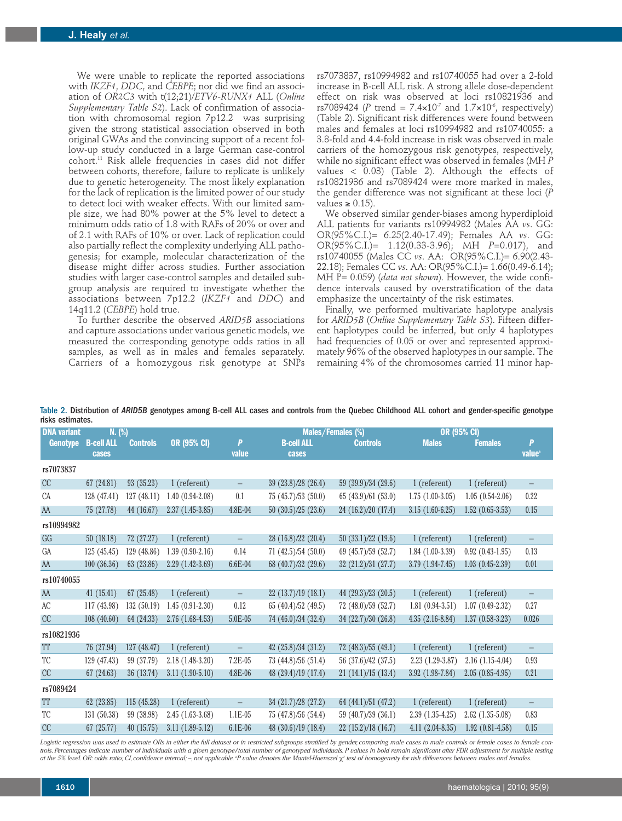We were unable to replicate the reported associations with *IKZF1*, *DDC*, and *CEBPE*; nor did we find an association of *OR2C3* with t(12;21)/*ETV6-RUNX1* ALL (*Online Supplementary Table S2*). Lack of confirmation of association with chromosomal region 7p12.2 was surprising given the strong statistical association observed in both original GWAs and the convincing support of a recent follow-up study conducted in a large German case-control cohort. <sup>11</sup> Risk allele frequencies in cases did not differ between cohorts, therefore, failure to replicate is unlikely due to genetic heterogeneity. The most likely explanation for the lack of replication is the limited power of our study to detect loci with weaker effects. With our limited sample size, we had 80% power at the 5% level to detect a minimum odds ratio of 1.8 with RAFs of 20% or over and of 2.1 with RAFs of 10% or over. Lack of replication could also partially reflect the complexity underlying ALL pathogenesis; for example, molecular characterization of the disease might differ across studies. Further association studies with larger case-control samples and detailed subgroup analysis are required to investigate whether the associations between 7p12.2 (*IKZF1* and *DDC*) and 14q11.2 (*CEBPE*) hold true.

To further describe the observed *ARID5B* associations and capture associations under various genetic models, we measured the corresponding genotype odds ratios in all samples, as well as in males and females separately. Carriers of a homozygous risk genotype at SNPs rs7073837, rs10994982 and rs10740055 had over a 2-fold increase in B-cell ALL risk. A strong allele dose-dependent effect on risk was observed at loci rs10821936 and  $rs7089424$  (P trend =  $7.4\times10^{7}$  and  $1.7\times10^{6}$ , respectively) (Table 2). Significant risk differences were found between males and females at loci rs10994982 and rs10740055: a 3.8-fold and 4.4-fold increase in risk was observed in male carriers of the homozygous risk genotypes, respectively, while no significant effect was observed in females (MH *P* values  $<$  0.03) (Table 2). Although the effects of rs10821936 and rs7089424 were more marked in males, the gender difference was not significant at these loci (*P* values  $\geq 0.15$ ).

We observed similar gender-biases among hyperdiploid ALL patients for variants rs10994982 (Males AA *vs*. GG: OR(95%C.I.)= 6.25(2.40-17.49); Females AA *vs*. GG: OR(95%C.I.)= 1.12(0.33-3.96); MH *P*=0.017), and rs10740055 (Males CC *vs*. AA: OR(95%C.I.)= 6.90(2.43- 22.18); Females CC *vs*. AA: OR(95%C.I.)= 1.66(0.49-6.14); MH P= 0.059) (*data not shown*). However, the wide confidence intervals caused by overstratification of the data emphasize the uncertainty of the risk estimates.

Finally, we performed multivariate haplotype analysis for *ARID5B* (*Online Supplementary Table S3*). Fifteen different haplotypes could be inferred, but only 4 haplotypes had frequencies of 0.05 or over and represented approximately 96% of the observed haplotypes in our sample. The remaining 4% of the chromosomes carried 11 minor hap-

Table 2. Distribution of *ARID5B* genotypes among B-cell ALL cases and controls from the Quebec Childhood ALL cohort and gender-specific genotype risks estimates.

| <b>DNA</b> variant | N. (%)                     |                 |                   |                          | Males/Females (%)          |                     | <b>OR (95% CI)</b> |                   |                          |
|--------------------|----------------------------|-----------------|-------------------|--------------------------|----------------------------|---------------------|--------------------|-------------------|--------------------------|
| <b>Genotype</b>    | <b>B-cell ALL</b><br>cases | <b>Controls</b> | OR (95% CI)       | P<br>value               | <b>B-cell ALL</b><br>cases | <b>Controls</b>     | <b>Males</b>       | <b>Females</b>    | P<br>value <sup>a</sup>  |
| rs7073837          |                            |                 |                   |                          |                            |                     |                    |                   |                          |
| CC                 | 67 (24.81)                 | 93(35.23)       | 1 (referent)      | -                        | 39(23.8)/28(26.4)          | 59 (39.9)/34 (29.6) | 1 (referent)       | 1 (referent)      | $\qquad \qquad -$        |
| CA                 | 128 (47.41)                | 127(48.11)      | $1.40(0.94-2.08)$ | 0.1                      | 75 (45.7)/53 (50.0)        | 65 (43.9)/61 (53.0) | $1.75(1.00-3.05)$  | $1.05(0.54-2.06)$ | 0.22                     |
| AA                 | 75 (27.78)                 | 44 (16.67)      | $2.37(1.45-3.85)$ | 4.8E-04                  | 50(30.5)/25(23.6)          | 24 (16.2)/20 (17.4) | $3.15(1.60-6.25)$  | $1.52(0.65-3.53)$ | 0.15                     |
| rs10994982         |                            |                 |                   |                          |                            |                     |                    |                   |                          |
| GG                 | 50(18.18)                  | 72 (27.27)      | 1 (referent)      | $\qquad \qquad -$        | 28 (16.8)/22 (20.4)        | 50(33.1)/22(19.6)   | 1 (referent)       | 1 (referent)      | $\qquad \qquad -$        |
| GA                 | 125(45.45)                 | 129 (48.86)     | $1.39(0.90-2.16)$ | 0.14                     | 71 (42.5)/54 (50.0)        | 69(45.7)/59(52.7)   | $1.84(1.00-3.39)$  | $0.92(0.43-1.95)$ | 0.13                     |
| AA                 | 100(36.36)                 | 63 (23.86)      | $2.29(1.42-3.69)$ | 6.6E-04                  | 68 (40.7)/32 (29.6)        | 32(21.2)/31(27.7)   | $3.79(1.94-7.45)$  | $1.03(0.45-2.39)$ | 0.01                     |
| rs10740055         |                            |                 |                   |                          |                            |                     |                    |                   |                          |
| AA                 | 41(15.41)                  | 67 (25.48)      | 1 (referent)      | $\overline{\phantom{0}}$ | 22(13.7)/19(18.1)          | 44 (29.3)/23 (20.5) | 1 (referent)       | 1 (referent)      |                          |
| AC                 | 117(43.98)                 | 132 (50.19)     | $1.45(0.91-2.30)$ | 0.12                     | 65 (40.4)/52 (49.5)        | 72 (48.0)/59 (52.7) | $1.81(0.94-3.51)$  | $1.07(0.49-2.32)$ | 0.27                     |
| CC                 | 108(40.60)                 | 64 (24.33)      | $2.76(1.68-4.53)$ | 5.0E-05                  | 74 (46.0)/34 (32.4)        | 34 (22.7)/30 (26.8) | $4.35(2.16-8.84)$  | $1.37(0.58-3.23)$ | 0.026                    |
| rs10821936         |                            |                 |                   |                          |                            |                     |                    |                   |                          |
| <b>TT</b>          | 76 (27.94)                 | 127 (48.47)     | 1 (referent)      | $\qquad \qquad -$        | 42 (25.8)/34 (31.2)        | 72(48.3)/55(49.1)   | 1 (referent)       | 1 (referent)      | $\overline{\phantom{m}}$ |
| TC                 | 129 (47.43)                | 99 (37.79)      | $2.18(1.48-3.20)$ | 7.2E-05                  | 73 (44.8)/56 (51.4)        | 56 (37.6)/42 (37.5) | $2.23(1.29-3.87)$  | $2.16(1.15-4.04)$ | 0.93                     |
| CC                 | 67(24.63)                  | 36(13.74)       | $3.11(1.90-5.10)$ | 4.8E-06                  | 48(29.4)/19(17.4)          | 21(14.1)/15(13.4)   | $3.92(1.98-7.84)$  | $2.05(0.85-4.95)$ | 0.21                     |
| rs7089424          |                            |                 |                   |                          |                            |                     |                    |                   |                          |
| TT                 | 62(23.85)                  | 115 (45.28)     | 1 (referent)      | $\qquad \qquad -$        | 34 (21.7)/28 (27.2)        | 64 (44.1)/51 (47.2) | 1 (referent)       | 1 (referent)      | $\qquad \qquad -$        |
| TC                 | 131 (50.38)                | 99 (38.98)      | $2.45(1.63-3.68)$ | $1.1E-05$                | 75 (47.8)/56 (54.4)        | 59 (40.7)/39 (36.1) | $2.39(1.35-4.25)$  | $2.62(1.35-5.08)$ | 0.83                     |
| CC                 | 67 (25.77)                 | 40(15.75)       | $3.11(1.89-5.12)$ | 6.1E-06                  | 48 (30.6)/19 (18.4)        | 22(15.2)/18(16.7)   | $4.11(2.04-8.35)$  | $1.92(0.81-4.58)$ | 0.15                     |

Logistic regression was used to estimate ORs in either the full dataset or in restricted subgroups stratified by gender, comparing male cases to male controls or female cases to female controls. Percentages indicate number of individuals with a given genotype/total number of genotyped individuals. P values in bold remain significant after FDR adjustment for multiple testing at the 5% level. OR: odds ratio; CI, confidence interval; –, not applicable. P value denotes the Mantel-Haenszel  $\chi^z$  test of homogeneity for risk differences between males and females.